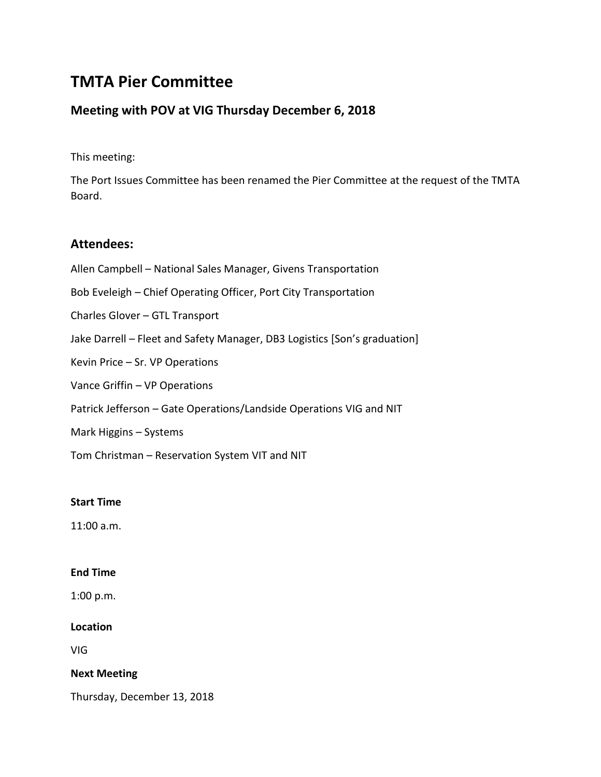# **TMTA Pier Committee**

# **Meeting with POV at VIG Thursday December 6, 2018**

This meeting:

The Port Issues Committee has been renamed the Pier Committee at the request of the TMTA Board.

## **Attendees:**

Allen Campbell – National Sales Manager, Givens Transportation Bob Eveleigh – Chief Operating Officer, Port City Transportation Charles Glover – GTL Transport Jake Darrell – Fleet and Safety Manager, DB3 Logistics [Son's graduation] Kevin Price – Sr. VP Operations Vance Griffin – VP Operations Patrick Jefferson – Gate Operations/Landside Operations VIG and NIT Mark Higgins – Systems Tom Christman – Reservation System VIT and NIT

#### **Start Time**

11:00 a.m.

#### **End Time**

1:00 p.m.

#### **Location**

VIG

#### **Next Meeting**

Thursday, December 13, 2018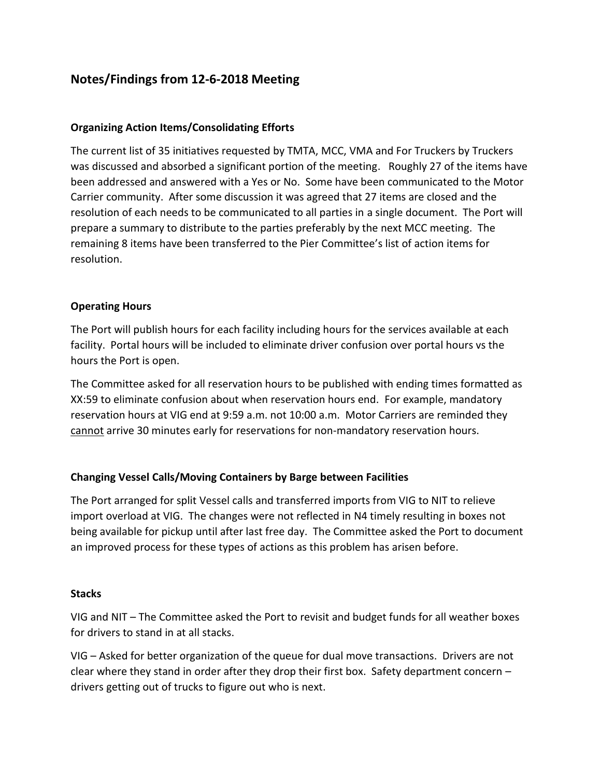# **Notes/Findings from 12-6-2018 Meeting**

#### **Organizing Action Items/Consolidating Efforts**

The current list of 35 initiatives requested by TMTA, MCC, VMA and For Truckers by Truckers was discussed and absorbed a significant portion of the meeting. Roughly 27 of the items have been addressed and answered with a Yes or No. Some have been communicated to the Motor Carrier community. After some discussion it was agreed that 27 items are closed and the resolution of each needs to be communicated to all parties in a single document. The Port will prepare a summary to distribute to the parties preferably by the next MCC meeting. The remaining 8 items have been transferred to the Pier Committee's list of action items for resolution.

#### **Operating Hours**

The Port will publish hours for each facility including hours for the services available at each facility. Portal hours will be included to eliminate driver confusion over portal hours vs the hours the Port is open.

The Committee asked for all reservation hours to be published with ending times formatted as XX:59 to eliminate confusion about when reservation hours end. For example, mandatory reservation hours at VIG end at 9:59 a.m. not 10:00 a.m. Motor Carriers are reminded they cannot arrive 30 minutes early for reservations for non-mandatory reservation hours.

## **Changing Vessel Calls/Moving Containers by Barge between Facilities**

The Port arranged for split Vessel calls and transferred imports from VIG to NIT to relieve import overload at VIG. The changes were not reflected in N4 timely resulting in boxes not being available for pickup until after last free day. The Committee asked the Port to document an improved process for these types of actions as this problem has arisen before.

#### **Stacks**

VIG and NIT – The Committee asked the Port to revisit and budget funds for all weather boxes for drivers to stand in at all stacks.

VIG – Asked for better organization of the queue for dual move transactions. Drivers are not clear where they stand in order after they drop their first box. Safety department concern – drivers getting out of trucks to figure out who is next.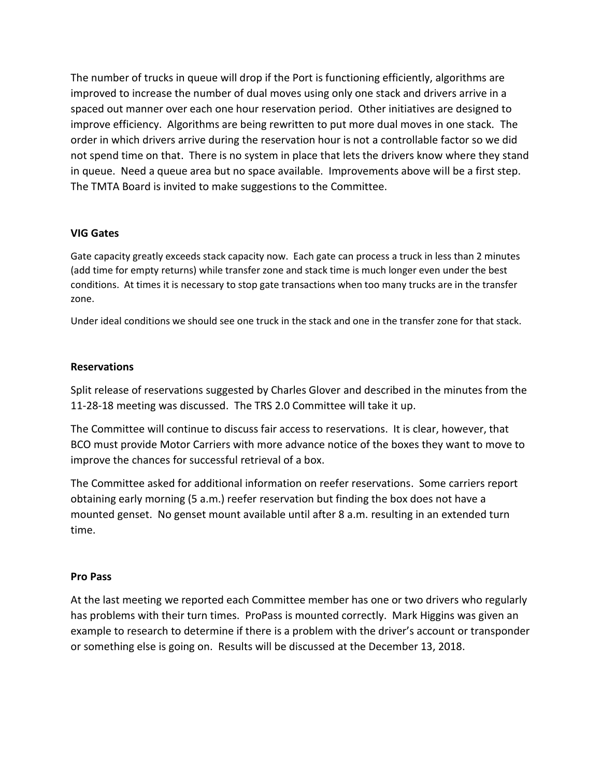The number of trucks in queue will drop if the Port is functioning efficiently, algorithms are improved to increase the number of dual moves using only one stack and drivers arrive in a spaced out manner over each one hour reservation period. Other initiatives are designed to improve efficiency. Algorithms are being rewritten to put more dual moves in one stack. The order in which drivers arrive during the reservation hour is not a controllable factor so we did not spend time on that. There is no system in place that lets the drivers know where they stand in queue. Need a queue area but no space available. Improvements above will be a first step. The TMTA Board is invited to make suggestions to the Committee.

#### **VIG Gates**

Gate capacity greatly exceeds stack capacity now. Each gate can process a truck in less than 2 minutes (add time for empty returns) while transfer zone and stack time is much longer even under the best conditions. At times it is necessary to stop gate transactions when too many trucks are in the transfer zone.

Under ideal conditions we should see one truck in the stack and one in the transfer zone for that stack.

#### **Reservations**

Split release of reservations suggested by Charles Glover and described in the minutes from the 11-28-18 meeting was discussed. The TRS 2.0 Committee will take it up.

The Committee will continue to discuss fair access to reservations. It is clear, however, that BCO must provide Motor Carriers with more advance notice of the boxes they want to move to improve the chances for successful retrieval of a box.

The Committee asked for additional information on reefer reservations. Some carriers report obtaining early morning (5 a.m.) reefer reservation but finding the box does not have a mounted genset. No genset mount available until after 8 a.m. resulting in an extended turn time.

#### **Pro Pass**

At the last meeting we reported each Committee member has one or two drivers who regularly has problems with their turn times. ProPass is mounted correctly. Mark Higgins was given an example to research to determine if there is a problem with the driver's account or transponder or something else is going on. Results will be discussed at the December 13, 2018.